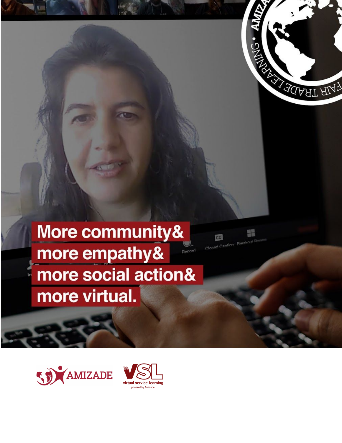

鼺

 $cc$ 

# More community& more empathy& Record more social action& more virtual.



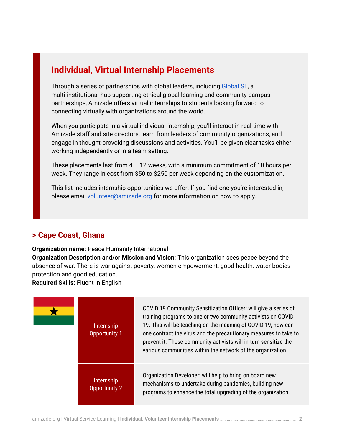## **Individual, Virtual Internship Placements**

Through a series of partnerships with global leaders, including [Global](https://compact.org/global-sl/) SL, a multi-institutional hub supporting ethical global learning and community-campus partnerships, Amizade offers virtual internships to students looking forward to connecting virtually with organizations around the world.

When you participate in a virtual individual internship, you'll interact in real time with Amizade staff and site directors, learn from leaders of community organizations, and engage in thought-provoking discussions and activities. You'll be given clear tasks either working independently or in a team setting.

These placements last from  $4 - 12$  weeks, with a minimum commitment of 10 hours per week. They range in cost from \$50 to \$250 per week depending on the customization.

This list includes internship opportunities we offer. If you find one you're interested in, please email [volunteer@amizade.org](mailto:volunteer@amizade.org) for more information on how to apply.

## **> Cape Coast, Ghana**

**Organization name:** Peace Humanity International

**Organization Description and/or Mission and Vision:** This organization sees peace beyond the absence of war. There is war against poverty, women empowerment, good health, water bodies protection and good education.

**Required Skills:** Fluent in English

| Internship<br>Opportunity 1 | COVID 19 Community Sensitization Officer: will give a series of<br>training programs to one or two community activists on COVID<br>19. This will be teaching on the meaning of COVID 19, how can<br>one contract the virus and the precautionary measures to take to<br>prevent it. These community activists will in turn sensitize the<br>various communities within the network of the organization |
|-----------------------------|--------------------------------------------------------------------------------------------------------------------------------------------------------------------------------------------------------------------------------------------------------------------------------------------------------------------------------------------------------------------------------------------------------|
| Internship<br>Opportunity 2 | Organization Developer: will help to bring on board new<br>mechanisms to undertake during pandemics, building new<br>programs to enhance the total upgrading of the organization.                                                                                                                                                                                                                      |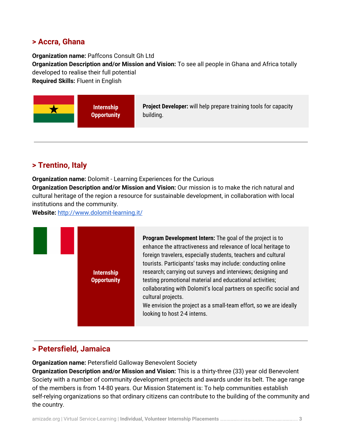#### **> Accra, Ghana**

**Organization name:** Paffcons Consult Gh Ltd

**Organization Description and/or Mission and Vision:** To see all people in Ghana and Africa totally developed to realise their full potential

**Required Skills:** Fluent in English

| <b>Opportunity</b><br>building. |
|---------------------------------|
|---------------------------------|

### **> Trentino, Italy**

**Organization name:** Dolomit - Learning Experiences for the Curious **Organization Description and/or Mission and Vision:** Our mission is to make the rich natural and cultural heritage of the region a resource for sustainable development, in collaboration with local institutions and the community.

**Website:** <http://www.dolomit-learning.it/>



## **> Petersfield, Jamaica**

**Organization name:** Petersfield Galloway Benevolent Society

**Organization Description and/or Mission and Vision:** This is a thirty-three (33) year old Benevolent Society with a number of community development projects and awards under its belt. The age range of the members is from 14-80 years. Our Mission Statement is: To help communities establish self-relying organizations so that ordinary citizens can contribute to the building of the community and the country.